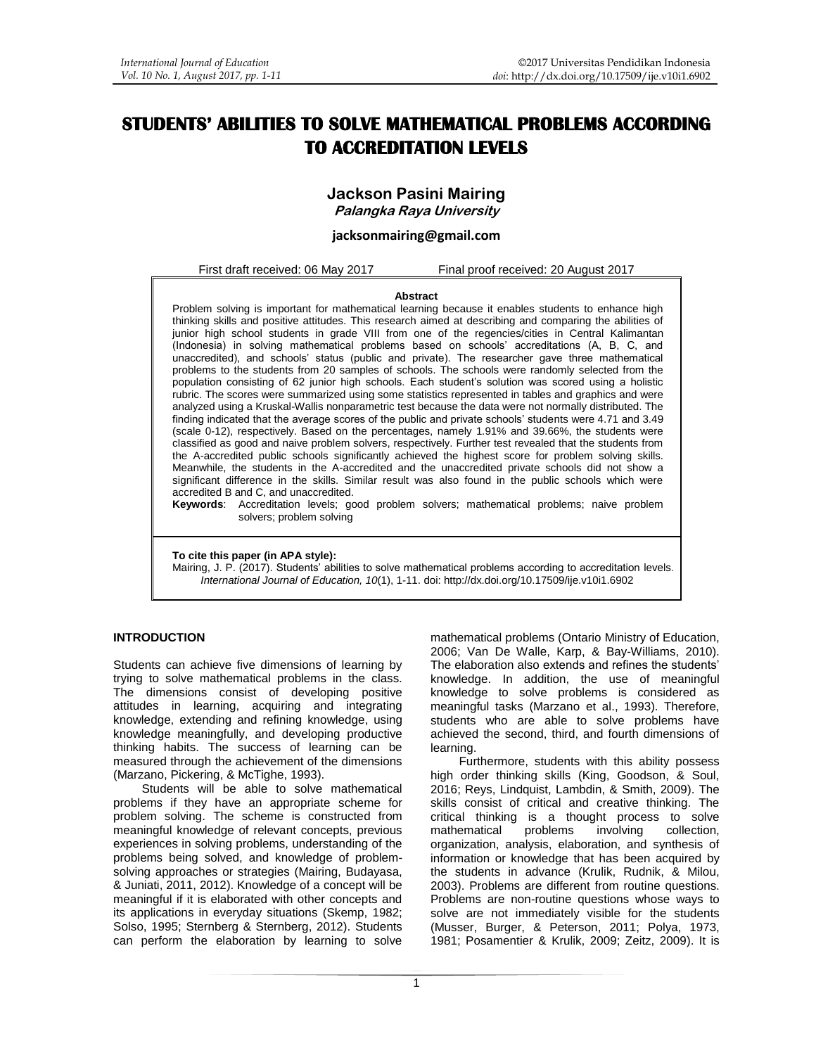# **STUDENTS' ABILITIES TO SOLVE MATHEMATICAL PROBLEMS ACCORDING TO ACCREDITATION LEVELS**

# **Jackson Pasini Mairing**

**Palangka Raya University**

## **[jacksonmairing@gmail.com](mailto:jacksonmairing@gmail.com)**

First draft received: 06 May 2017 Final proof received: 20 August 2017

#### **Abstract**

Problem solving is important for mathematical learning because it enables students to enhance high thinking skills and positive attitudes. This research aimed at describing and comparing the abilities of junior high school students in grade VIII from one of the regencies/cities in Central Kalimantan (Indonesia) in solving mathematical problems based on schools' accreditations (A, B, C, and unaccredited), and schools' status (public and private). The researcher gave three mathematical problems to the students from 20 samples of schools. The schools were randomly selected from the population consisting of 62 junior high schools. Each student's solution was scored using a holistic rubric. The scores were summarized using some statistics represented in tables and graphics and were analyzed using a Kruskal-Wallis nonparametric test because the data were not normally distributed. The finding indicated that the average scores of the public and private schools' students were 4.71 and 3.49 (scale 0-12), respectively. Based on the percentages, namely 1.91% and 39.66%, the students were classified as good and naive problem solvers, respectively. Further test revealed that the students from the A-accredited public schools significantly achieved the highest score for problem solving skills. Meanwhile, the students in the A-accredited and the unaccredited private schools did not show a significant difference in the skills. Similar result was also found in the public schools which were accredited B and C, and unaccredited.

**Keywords**: Accreditation levels; good problem solvers; mathematical problems; naive problem solvers; problem solving

**To cite this paper (in APA style):**

Mairing, J. P. (2017). Students' abilities to solve mathematical problems according to accreditation levels. *International Journal of Education, 10*(1), 1-11. doi: http://dx.doi.org/10.17509/ije.v10i1.6902

### **INTRODUCTION**

Students can achieve five dimensions of learning by trying to solve mathematical problems in the class. The dimensions consist of developing positive attitudes in learning, acquiring and integrating knowledge, extending and refining knowledge, using knowledge meaningfully, and developing productive thinking habits. The success of learning can be measured through the achievement of the dimensions (Marzano, Pickering, & McTighe, 1993).

Students will be able to solve mathematical problems if they have an appropriate scheme for problem solving. The scheme is constructed from meaningful knowledge of relevant concepts, previous experiences in solving problems, understanding of the problems being solved, and knowledge of problemsolving approaches or strategies (Mairing, Budayasa, & Juniati, 2011, 2012). Knowledge of a concept will be meaningful if it is elaborated with other concepts and its applications in everyday situations (Skemp, 1982; Solso, 1995; Sternberg & Sternberg, 2012). Students can perform the elaboration by learning to solve mathematical problems (Ontario Ministry of Education, 2006; Van De Walle, Karp, & Bay-Williams, 2010). The elaboration also extends and refines the students' knowledge. In addition, the use of meaningful knowledge to solve problems is considered as meaningful tasks (Marzano et al., 1993). Therefore, students who are able to solve problems have achieved the second, third, and fourth dimensions of learning.

Furthermore, students with this ability possess high order thinking skills (King, Goodson, & Soul, 2016; Reys, Lindquist, Lambdin, & Smith, 2009). The skills consist of critical and creative thinking. The critical thinking is a thought process to solve mathematical problems involving collection, mathematical problems involving collection, organization, analysis, elaboration, and synthesis of information or knowledge that has been acquired by the students in advance (Krulik, Rudnik, & Milou, 2003). Problems are different from routine questions. Problems are non-routine questions whose ways to solve are not immediately visible for the students (Musser, Burger, & Peterson, 2011; Polya, 1973, 1981; Posamentier & Krulik, 2009; Zeitz, 2009). It is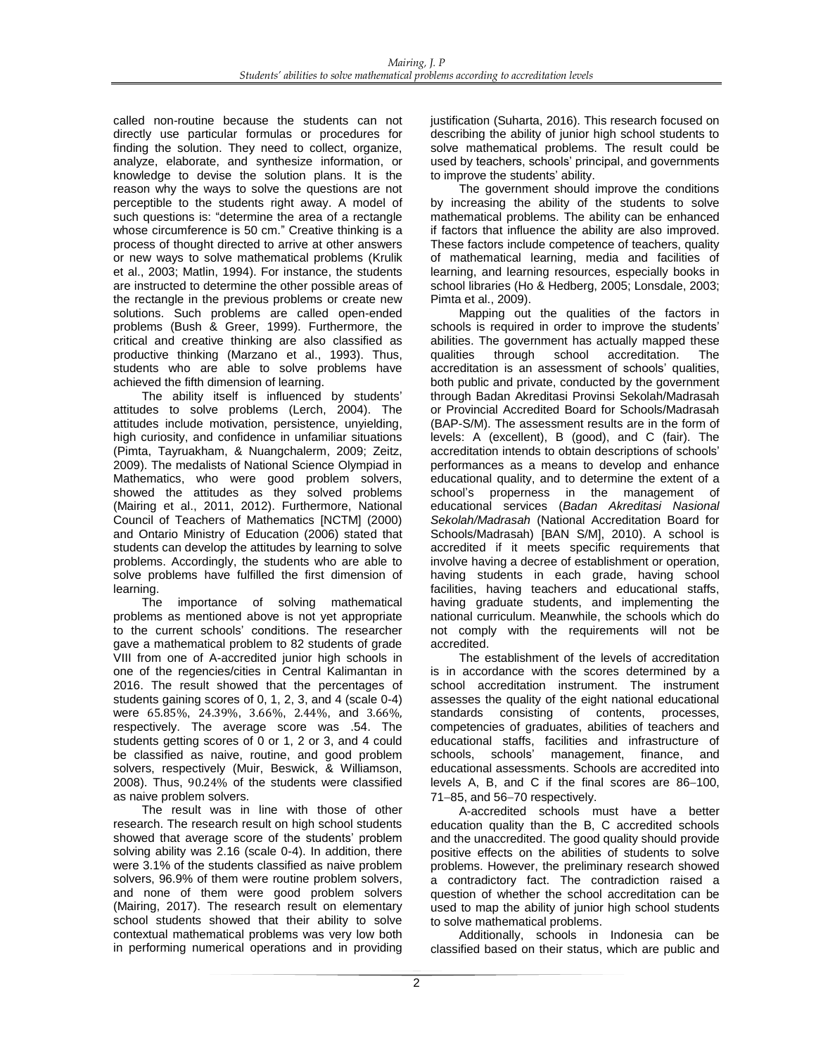called non-routine because the students can not directly use particular formulas or procedures for finding the solution. They need to collect, organize, analyze, elaborate, and synthesize information, or knowledge to devise the solution plans. It is the reason why the ways to solve the questions are not perceptible to the students right away. A model of such questions is: "determine the area of a rectangle whose circumference is 50 cm." Creative thinking is a process of thought directed to arrive at other answers or new ways to solve mathematical problems (Krulik et al., 2003; Matlin, 1994). For instance, the students are instructed to determine the other possible areas of the rectangle in the previous problems or create new solutions. Such problems are called open-ended problems (Bush & Greer, 1999). Furthermore, the critical and creative thinking are also classified as productive thinking (Marzano et al., 1993). Thus, students who are able to solve problems have achieved the fifth dimension of learning.

The ability itself is influenced by students' attitudes to solve problems (Lerch, 2004). The attitudes include motivation, persistence, unyielding, high curiosity, and confidence in unfamiliar situations (Pimta, Tayruakham, & Nuangchalerm, 2009; Zeitz, 2009). The medalists of National Science Olympiad in Mathematics, who were good problem solvers, showed the attitudes as they solved problems (Mairing et al., 2011, 2012). Furthermore, National Council of Teachers of Mathematics [NCTM] (2000) and Ontario Ministry of Education (2006) stated that students can develop the attitudes by learning to solve problems. Accordingly, the students who are able to solve problems have fulfilled the first dimension of learning.

The importance of solving mathematical problems as mentioned above is not yet appropriate to the current schools' conditions. The researcher gave a mathematical problem to 82 students of grade VIII from one of A-accredited junior high schools in one of the regencies/cities in Central Kalimantan in 2016. The result showed that the percentages of students gaining scores of 0, 1, 2, 3, and 4 (scale 0-4) were 65.85%, 24.39%, 3.66%, 2.44%, and 3.66%, respectively. The average score was .54. The students getting scores of 0 or 1, 2 or 3, and 4 could be classified as naive, routine, and good problem solvers, respectively (Muir, Beswick, & Williamson, 2008). Thus, 90.24% of the students were classified as naive problem solvers.

The result was in line with those of other research. The research result on high school students showed that average score of the students' problem solving ability was 2.16 (scale 0-4). In addition, there were 3.1% of the students classified as naive problem solvers, 96.9% of them were routine problem solvers, and none of them were good problem solvers (Mairing, 2017). The research result on elementary school students showed that their ability to solve contextual mathematical problems was very low both in performing numerical operations and in providing justification (Suharta, 2016). This research focused on describing the ability of junior high school students to solve mathematical problems. The result could be used by teachers, schools' principal, and governments to improve the students' ability.

The government should improve the conditions by increasing the ability of the students to solve mathematical problems. The ability can be enhanced if factors that influence the ability are also improved. These factors include competence of teachers, quality of mathematical learning, media and facilities of learning, and learning resources, especially books in school libraries (Ho & Hedberg, 2005; Lonsdale, 2003; Pimta et al., 2009).

Mapping out the qualities of the factors in schools is required in order to improve the students' abilities. The government has actually mapped these qualities through school accreditation. The accreditation is an assessment of schools' qualities, both public and private, conducted by the government through Badan Akreditasi Provinsi Sekolah/Madrasah or Provincial Accredited Board for Schools/Madrasah (BAP-S/M). The assessment results are in the form of levels: A (excellent), B (good), and C (fair). The accreditation intends to obtain descriptions of schools' performances as a means to develop and enhance educational quality, and to determine the extent of a school's properness in the management of educational services (*Badan Akreditasi Nasional Sekolah/Madrasah* (National Accreditation Board for Schools/Madrasah) [BAN S/M], 2010). A school is accredited if it meets specific requirements that involve having a decree of establishment or operation, having students in each grade, having school facilities, having teachers and educational staffs, having graduate students, and implementing the national curriculum. Meanwhile, the schools which do not comply with the requirements will not be accredited.

The establishment of the levels of accreditation is in accordance with the scores determined by a school accreditation instrument. The instrument assesses the quality of the eight national educational standards consisting of contents, processes, competencies of graduates, abilities of teachers and educational staffs, facilities and infrastructure of schools, schools' management, finance, and educational assessments. Schools are accredited into levels A, B, and C if the final scores are  $86-100$ , 71-85, and 56-70 respectively.

A-accredited schools must have a better education quality than the B, C accredited schools and the unaccredited. The good quality should provide positive effects on the abilities of students to solve problems. However, the preliminary research showed a contradictory fact. The contradiction raised a question of whether the school accreditation can be used to map the ability of junior high school students to solve mathematical problems.

Additionally, schools in Indonesia can be classified based on their status, which are public and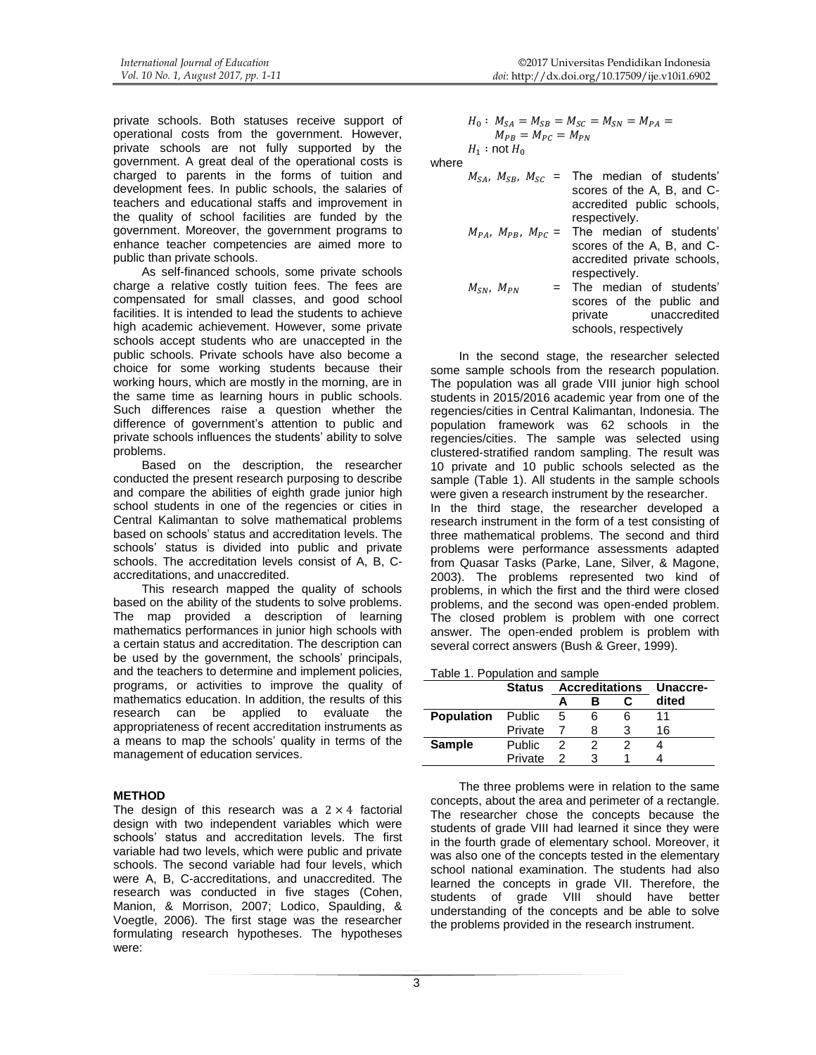private schools. Both statuses receive support of operational costs from the government. However, private schools are not fully supported by the government. A great deal of the operational costs is charged to parents in the forms of tuition and development fees. In public schools, the salaries of teachers and educational staffs and improvement in the quality of school facilities are funded by the government. Moreover, the government programs to enhance teacher competencies are aimed more to public than private schools.

As self-financed schools, some private schools charge a relative costly tuition fees. The fees are compensated for small classes, and good school facilities. It is intended to lead the students to achieve high academic achievement. However, some private schools accept students who are unaccepted in the public schools. Private schools have also become a choice for some working students because their working hours, which are mostly in the morning, are in the same time as learning hours in public schools. Such differences raise a question whether the difference of government's attention to public and private schools influences the students' ability to solve problems.

Based on the description, the researcher conducted the present research purposing to describe and compare the abilities of eighth grade junior high school students in one of the regencies or cities in Central Kalimantan to solve mathematical problems based on schools' status and accreditation levels. The schools' status is divided into public and private schools. The accreditation levels consist of A, B, Caccreditations, and unaccredited.

This research mapped the quality of schools based on the ability of the students to solve problems. The map provided a description of learning mathematics performances in junior high schools with a certain status and accreditation. The description can be used by the government, the schools' principals, and the teachers to determine and implement policies, programs, or activities to improve the quality of mathematics education. In addition, the results of this research can be applied to evaluate the appropriateness of recent accreditation instruments as a means to map the schools' quality in terms of the management of education services.

### **METHOD**

The design of this research was a  $2 \times 4$  factorial design with two independent variables which were schools' status and accreditation levels. The first variable had two levels, which were public and private schools. The second variable had four levels, which were A, B, C-accreditations, and unaccredited. The research was conducted in five stages (Cohen, Manion, & Morrison, 2007; Lodico, Spaulding, & Voegtle, 2006). The first stage was the researcher formulating research hypotheses. The hypotheses were:

$$
H_0: M_{SA} = M_{SB} = M_{SC} = M_{SN} = M_{PA} =
$$
  
\n
$$
M_{PB} = M_{PC} = M_{PN}
$$
  
\n
$$
H_1: \text{not } H_0
$$

where

| $M_{SA}$ , $M_{SB}$ , $M_{SC}$ = | The median of students'<br>scores of the A, B, and C- |
|----------------------------------|-------------------------------------------------------|
|                                  | accredited public schools,                            |
|                                  | respectively.                                         |
| $M_{PA}$ , $M_{PR}$ , $M_{PC}$ = | The median of students'                               |
|                                  | scores of the A, B, and C-                            |
|                                  | accredited private schools,                           |
|                                  | respectively.                                         |
| $M_{SN}$ , $M_{PN}$              | = The median of students'                             |
|                                  | scores of the public and                              |
|                                  | private unaccredited                                  |
|                                  | schools, respectively                                 |

In the second stage, the researcher selected some sample schools from the research population. The population was all grade VIII junior high school students in 2015/2016 academic year from one of the regencies/cities in Central Kalimantan, Indonesia. The population framework was 62 schools in the regencies/cities. The sample was selected using clustered-stratified random sampling. The result was 10 private and 10 public schools selected as the sample (Table 1). All students in the sample schools were given a research instrument by the researcher. In the third stage, the researcher developed a research instrument in the form of a test consisting of three mathematical problems. The second and third problems were performance assessments adapted from Quasar Tasks (Parke, Lane, Silver, & Magone, 2003). The problems represented two kind of problems, in which the first and the third were closed problems, and the second was open-ended problem. The closed problem is problem with one correct answer. The open-ended problem is problem with several correct answers (Bush & Greer, 1999).

|                   | <b>Status</b> | <b>Accreditations</b> |   |   | <b>Unaccre-</b> |
|-------------------|---------------|-----------------------|---|---|-----------------|
|                   |               |                       | в |   | dited           |
| <b>Population</b> | Public        | 5                     | 6 | 6 |                 |
|                   | Private       |                       | 8 |   | 16              |
| <b>Sample</b>     | <b>Public</b> | 2                     |   |   |                 |
|                   | Private       | 2                     | з |   |                 |

The three problems were in relation to the same concepts, about the area and perimeter of a rectangle. The researcher chose the concepts because the students of grade VIII had learned it since they were in the fourth grade of elementary school. Moreover, it was also one of the concepts tested in the elementary school national examination. The students had also learned the concepts in grade VII. Therefore, the students of grade VIII should have better understanding of the concepts and be able to solve the problems provided in the research instrument.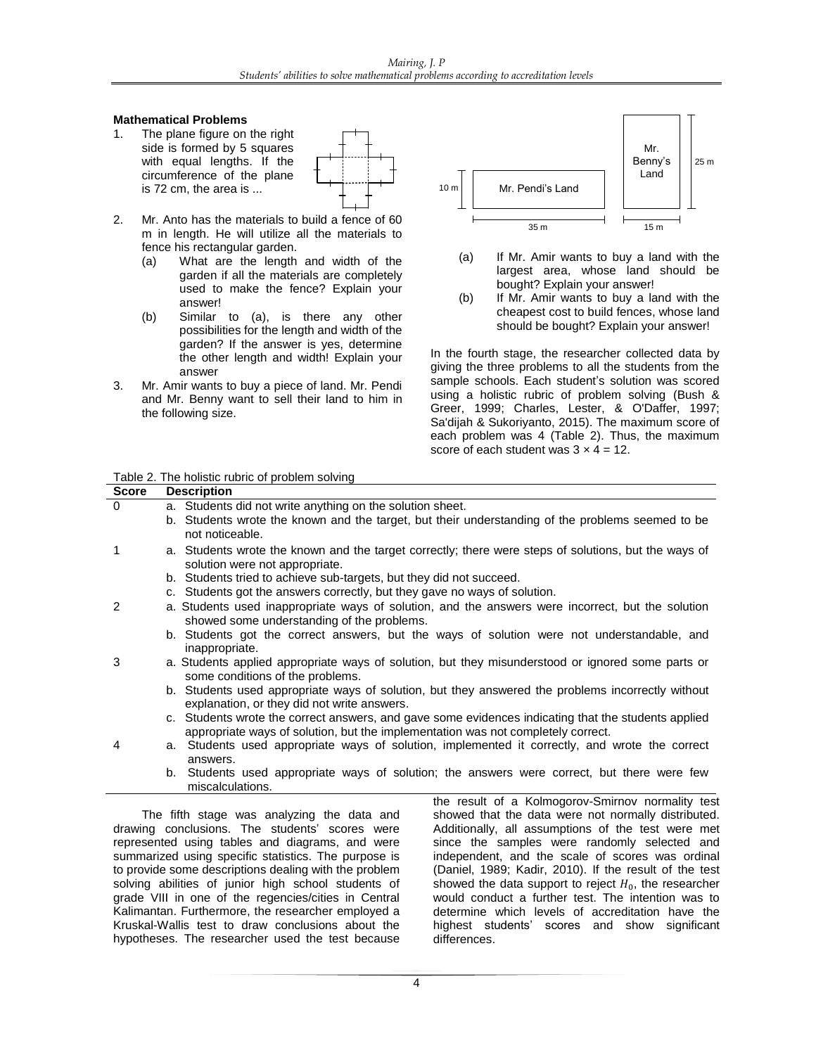## **Mathematical Problems**

1. The plane figure on the right side is formed by 5 squares with equal lengths. If the circumference of the plane is 72 cm, the area is ...



- 2. Mr. Anto has the materials to build a fence of 60 m in length. He will utilize all the materials to fence his rectangular garden.
	- (a) What are the length and width of the garden if all the materials are completely used to make the fence? Explain your answer!
	- (b) Similar to (a), is there any other possibilities for the length and width of the garden? If the answer is yes, determine the other length and width! Explain your answer
- 3. Mr. Amir wants to buy a piece of land. Mr. Pendi and Mr. Benny want to sell their land to him in the following size.



- (a) If Mr. Amir wants to buy a land with the largest area, whose land should be bought? Explain your answer!
- (b) If Mr. Amir wants to buy a land with the cheapest cost to build fences, whose land should be bought? Explain your answer!

In the fourth stage, the researcher collected data by giving the three problems to all the students from the sample schools. Each student's solution was scored using a holistic rubric of problem solving (Bush & Greer, 1999; Charles, Lester, & O'Daffer, 1997; Sa'dijah & Sukoriyanto, 2015). The maximum score of each problem was 4 (Table 2). Thus, the maximum score of each student was  $3 \times 4 = 12$ .

| <b>Score</b> | <b>Description</b>                                                                                                                                                                                                                                                                                                                                                                                                                                                                   |
|--------------|--------------------------------------------------------------------------------------------------------------------------------------------------------------------------------------------------------------------------------------------------------------------------------------------------------------------------------------------------------------------------------------------------------------------------------------------------------------------------------------|
| $\Omega$     | a. Students did not write anything on the solution sheet.<br>b. Students wrote the known and the target, but their understanding of the problems seemed to be<br>not noticeable.                                                                                                                                                                                                                                                                                                     |
| 1            | a. Students wrote the known and the target correctly; there were steps of solutions, but the ways of<br>solution were not appropriate.<br>b. Students tried to achieve sub-targets, but they did not succeed.                                                                                                                                                                                                                                                                        |
| 2            | c. Students got the answers correctly, but they gave no ways of solution.<br>a. Students used inappropriate ways of solution, and the answers were incorrect, but the solution<br>showed some understanding of the problems.<br>b. Students got the correct answers, but the ways of solution were not understandable, and<br>inappropriate.                                                                                                                                         |
| 3            | a. Students applied appropriate ways of solution, but they misunderstood or ignored some parts or<br>some conditions of the problems.<br>b. Students used appropriate ways of solution, but they answered the problems incorrectly without<br>explanation, or they did not write answers.<br>c. Students wrote the correct answers, and gave some evidences indicating that the students applied<br>appropriate ways of solution, but the implementation was not completely correct. |
| 4            | a. Students used appropriate ways of solution, implemented it correctly, and wrote the correct<br>answers.<br>b. Students used appropriate ways of solution; the answers were correct, but there were few                                                                                                                                                                                                                                                                            |
|              | miscalculations.<br>the result of a Kolmogorov-Smirnov normality test                                                                                                                                                                                                                                                                                                                                                                                                                |

The fifth stage was analyzing the data and drawing conclusions. The students' scores were represented using tables and diagrams, and were summarized using specific statistics. The purpose is to provide some descriptions dealing with the problem solving abilities of junior high school students of grade VIII in one of the regencies/cities in Central Kalimantan. Furthermore, the researcher employed a Kruskal-Wallis test to draw conclusions about the hypotheses. The researcher used the test because

the result of a Kolmogorov-Smirnov normality test showed that the data were not normally distributed. Additionally, all assumptions of the test were met since the samples were randomly selected and independent, and the scale of scores was ordinal (Daniel, 1989; Kadir, 2010). If the result of the test showed the data support to reject  $H_0$ , the researcher would conduct a further test. The intention was to determine which levels of accreditation have the highest students' scores and show significant differences.

#### Table 2. The holistic rubric of problem solving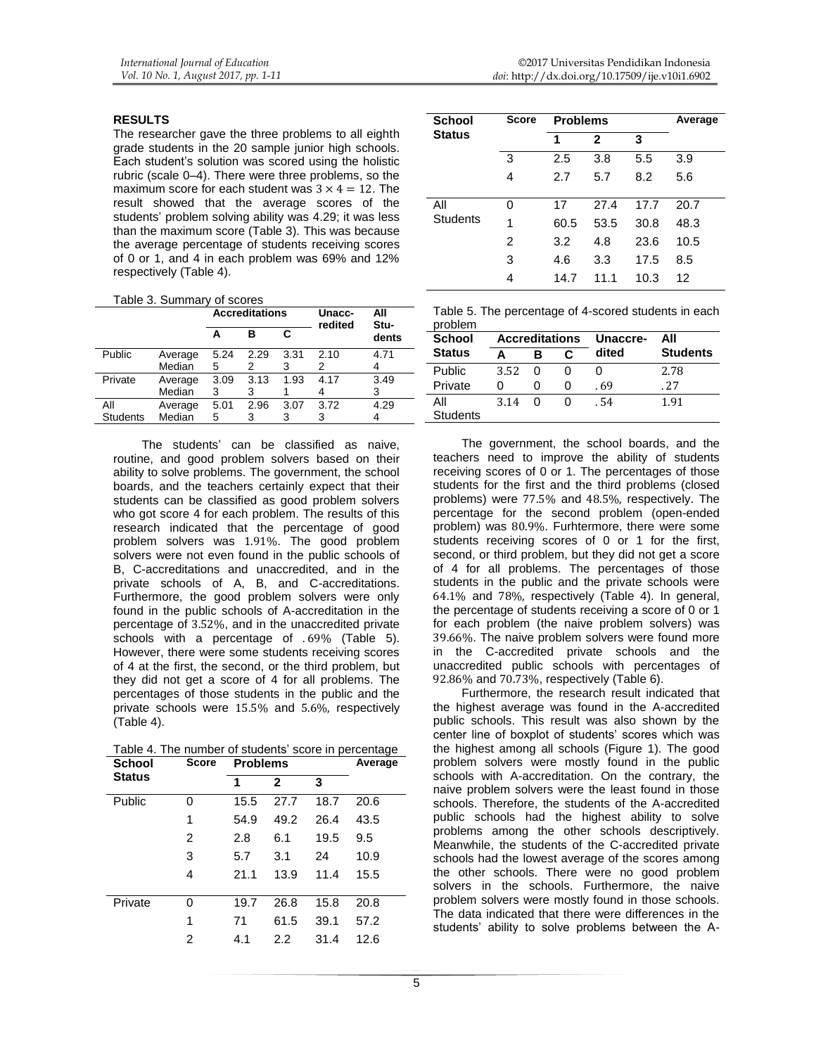#### **RESULTS**

The researcher gave the three problems to all eighth grade students in the 20 sample junior high schools. Each student's solution was scored using the holistic rubric (scale 0–4). There were three problems, so the maximum score for each student was  $3 \times 4 = 12$ . The result showed that the average scores of the students' problem solving ability was 4.29; it was less than the maximum score (Table 3). This was because the average percentage of students receiving scores of 0 or 1, and 4 in each problem was 69% and 12% respectively (Table 4).

|  | Table 3. Summary of scores |  |
|--|----------------------------|--|
|--|----------------------------|--|

|                 |         |      | <b>Accreditations</b> |      | Unacc-<br>redited | All<br>Stu- |  |
|-----------------|---------|------|-----------------------|------|-------------------|-------------|--|
|                 |         |      | в                     | C    |                   | dents       |  |
| Public          | Average | 5.24 | 2.29                  | 3.31 | 2.10              | 4.71        |  |
|                 | Median  | 5    | 2                     | 3    | 2                 |             |  |
| Private         | Average | 3.09 | 3.13                  | 1.93 | 4.17              | 3.49        |  |
|                 | Median  | 3    | 3                     |      |                   | 3           |  |
| All             | Average | 5.01 | 2.96                  | 3.07 | 3.72              | 4.29        |  |
| <b>Students</b> | Median  | 5    | 3                     | 3    | 3                 |             |  |
|                 |         |      |                       |      |                   |             |  |

The students' can be classified as naive, routine, and good problem solvers based on their ability to solve problems. The government, the school boards, and the teachers certainly expect that their students can be classified as good problem solvers who got score 4 for each problem. The results of this research indicated that the percentage of good problem solvers was 1.91%. The good problem solvers were not even found in the public schools of B, C-accreditations and unaccredited, and in the private schools of A, B, and C-accreditations. Furthermore, the good problem solvers were only found in the public schools of A-accreditation in the percentage of 3.52%, and in the unaccredited private schools with a percentage of . 69% (Table 5). However, there were some students receiving scores of 4 at the first, the second, or the third problem, but they did not get a score of 4 for all problems. The percentages of those students in the public and the private schools were 15.5% and 5.6%, respectively (Table 4).

Table 4. The number of students' score in percentage

| <b>School</b> | <b>Score</b> | <b>Problems</b> |              |      | Average |
|---------------|--------------|-----------------|--------------|------|---------|
| <b>Status</b> |              | 1               | $\mathbf{2}$ | 3    |         |
| Public        | 0            | 15.5            | 27.7         | 18.7 | 20.6    |
|               | 1            | 54.9            | 49.2         | 26.4 | 43.5    |
|               | 2            | 2.8             | 6.1          | 19.5 | 9.5     |
|               | 3            | 5.7             | 3.1          | 24   | 10.9    |
|               | 4            | 21.1            | 13.9         | 11.4 | 15.5    |
|               |              |                 |              |      |         |
| Private       | 0            | 19.7            | 26.8         | 15.8 | 20.8    |
|               | 1            | 71              | 61.5         | 39.1 | 57.2    |
|               | 2            | 4.1             | 2.2          | 31.4 | 12.6    |
|               |              |                 |              |      |         |

| <b>School</b>   | <b>Score</b> | <b>Problems</b> |              | Average |      |
|-----------------|--------------|-----------------|--------------|---------|------|
| <b>Status</b>   |              | 1               | $\mathbf{2}$ | 3       |      |
|                 | 3            | 2.5             | 3.8          | 5.5     | 3.9  |
|                 | 4            | 2.7             | 5.7          | 8.2     | 5.6  |
| All             | 0            | 17              | 27.4         | 17.7    | 20.7 |
| <b>Students</b> | 1            | 60.5            | 53.5         | 30.8    | 48.3 |
|                 | 2            | 3.2             | 4.8          | 23.6    | 10.5 |
|                 | 3            | 4.6             | 3.3          | 17.5    | 8.5  |
|                 | 4            | 14.7            | 11.1         | 10.3    | 12   |

|         | Table 5. The percentage of 4-scored students in each |  |
|---------|------------------------------------------------------|--|
| problem |                                                      |  |

| ייישועו<br><b>School</b> | <b>Accreditations</b> |   |   | Unaccre- | All             |
|--------------------------|-----------------------|---|---|----------|-----------------|
| <b>Status</b>            |                       | в | c | dited    | <b>Students</b> |
| Public                   | 3.52                  |   |   |          | 2.78            |
| Private                  | O                     |   |   | . 69     | .27             |
| All                      | 3.14                  | U |   | . 54     | 1.91            |
| <b>Students</b>          |                       |   |   |          |                 |

The government, the school boards, and the teachers need to improve the ability of students receiving scores of 0 or 1. The percentages of those students for the first and the third problems (closed problems) were 77.5% and 48.5%, respectively. The percentage for the second problem (open-ended problem) was 80.9%. Furhtermore, there were some students receiving scores of 0 or 1 for the first, second, or third problem, but they did not get a score of 4 for all problems. The percentages of those students in the public and the private schools were 64.1% and 78%, respectively (Table 4). In general, the percentage of students receiving a score of 0 or 1 for each problem (the naive problem solvers) was 39.66%. The naive problem solvers were found more in the C-accredited private schools and the unaccredited public schools with percentages of 92.86% and 70.73%, respectively (Table 6).

Furthermore, the research result indicated that the highest average was found in the A-accredited public schools. This result was also shown by the center line of boxplot of students' scores which was the highest among all schools (Figure 1). The good problem solvers were mostly found in the public schools with A-accreditation. On the contrary, the naive problem solvers were the least found in those schools. Therefore, the students of the A-accredited public schools had the highest ability to solve problems among the other schools descriptively. Meanwhile, the students of the C-accredited private schools had the lowest average of the scores among the other schools. There were no good problem solvers in the schools. Furthermore, the naive problem solvers were mostly found in those schools. The data indicated that there were differences in the students' ability to solve problems between the A-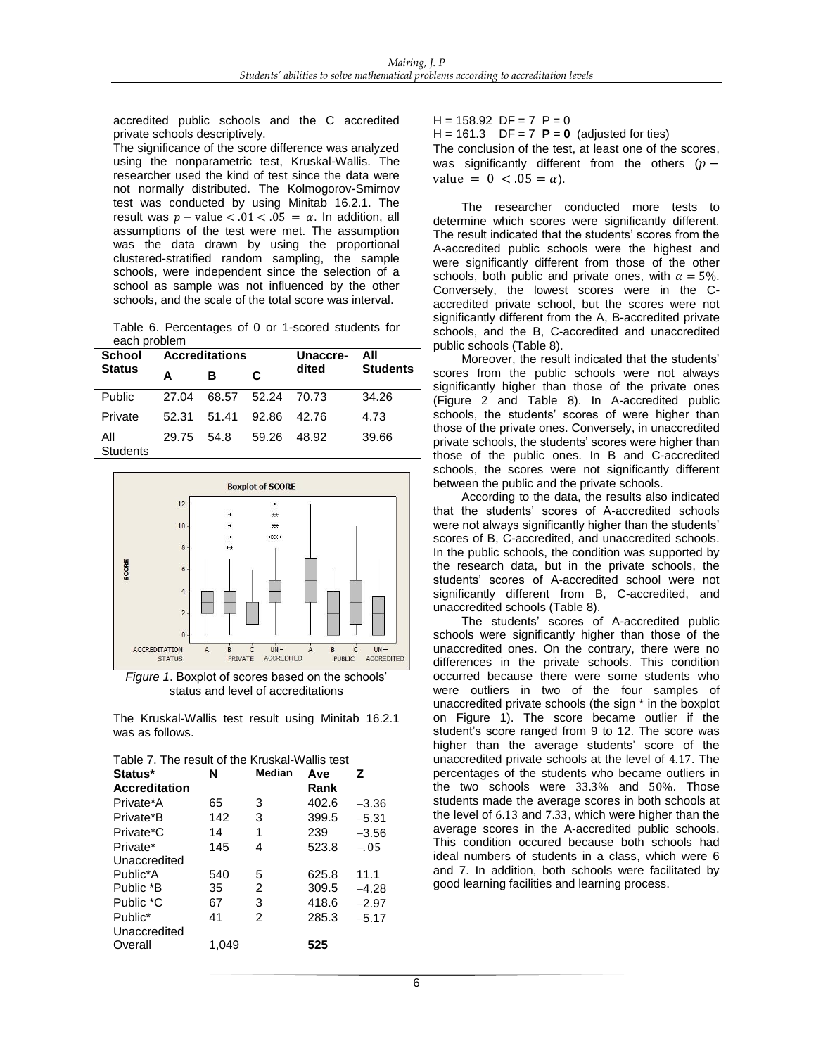accredited public schools and the C accredited private schools descriptively.

The significance of the score difference was analyzed using the nonparametric test, Kruskal-Wallis. The researcher used the kind of test since the data were not normally distributed. The Kolmogorov-Smirnov test was conducted by using Minitab 16.2.1. The result was  $p -$  value  $< .01 < .05 = \alpha$ . In addition, all assumptions of the test were met. The assumption was the data drawn by using the proportional clustered-stratified random sampling, the sample schools, were independent since the selection of a school as sample was not influenced by the other schools, and the scale of the total score was interval.

Table 6. Percentages of 0 or 1-scored students for each problem

| School          |       | <b>Accreditations</b> |       | Unaccre- | All             |  |
|-----------------|-------|-----------------------|-------|----------|-----------------|--|
| <b>Status</b>   | A     | R                     | C     | dited    | <b>Students</b> |  |
| Public          | 27 Q4 | 68.57                 | 52.24 | 70.73    | 34.26           |  |
| Private         | 52.31 | 51.41                 | 92.86 | 42 76    | 4.73            |  |
| All<br>Students | 29.75 | .54 R                 | 59.26 | 48.92    | 39.66           |  |



*Figure 1*. Boxplot of scores based on the schools' status and level of accreditations

The Kruskal-Wallis test result using Minitab 16.2.1 was as follows.

| Status*              | N     | <b>Median</b> | Ave   | 7       |
|----------------------|-------|---------------|-------|---------|
| <b>Accreditation</b> |       |               | Rank  |         |
| Private*A            | 65    | 3             | 402.6 | $-3.36$ |
| Private*B            | 142   | 3             | 399.5 | $-5.31$ |
| Private*C            | 14    | 1             | 239   | $-3.56$ |
| Private*             | 145   | 4             | 523.8 | $-.05$  |
| Unaccredited         |       |               |       |         |
| Public*A             | 540   | 5             | 625.8 | 11.1    |
| Public *B            | 35    | 2             | 309.5 | $-4.28$ |
| Public *C            | 67    | 3             | 418.6 | $-2.97$ |
| Public*              | 41    | 2             | 285.3 | $-5.17$ |
| Unaccredited         |       |               |       |         |
| Overall              | 1.049 |               | 525   |         |
|                      |       |               |       |         |

 $H = 158.92$  DF = 7 P = 0

 $H = 161.3$  DF = 7 **P = 0** (adjusted for ties) The conclusion of the test, at least one of the scores, was significantly different from the others ( $p$ value =  $0 < .05 = \alpha$ ).

The researcher conducted more tests to determine which scores were significantly different. The result indicated that the students' scores from the A-accredited public schools were the highest and were significantly different from those of the other schools, both public and private ones, with  $\alpha = 5\%$ . Conversely, the lowest scores were in the Caccredited private school, but the scores were not significantly different from the A, B-accredited private schools, and the B, C-accredited and unaccredited public schools (Table 8).

Moreover, the result indicated that the students' scores from the public schools were not always significantly higher than those of the private ones (Figure 2 and Table 8). In A-accredited public schools, the students' scores of were higher than those of the private ones. Conversely, in unaccredited private schools, the students' scores were higher than those of the public ones. In B and C-accredited schools, the scores were not significantly different between the public and the private schools.

According to the data, the results also indicated that the students' scores of A-accredited schools were not always significantly higher than the students' scores of B, C-accredited, and unaccredited schools. In the public schools, the condition was supported by the research data, but in the private schools, the students' scores of A-accredited school were not significantly different from B, C-accredited, and unaccredited schools (Table 8).

The students' scores of A-accredited public schools were significantly higher than those of the unaccredited ones. On the contrary, there were no differences in the private schools. This condition occurred because there were some students who were outliers in two of the four samples of unaccredited private schools (the sign \* in the boxplot on Figure 1). The score became outlier if the student's score ranged from 9 to 12. The score was higher than the average students' score of the unaccredited private schools at the level of 4.17. The percentages of the students who became outliers in the two schools were 33.3% and 50%. Those students made the average scores in both schools at the level of 6.13 and 7.33, which were higher than the average scores in the A-accredited public schools. This condition occured because both schools had ideal numbers of students in a class, which were 6 and 7. In addition, both schools were facilitated by good learning facilities and learning process.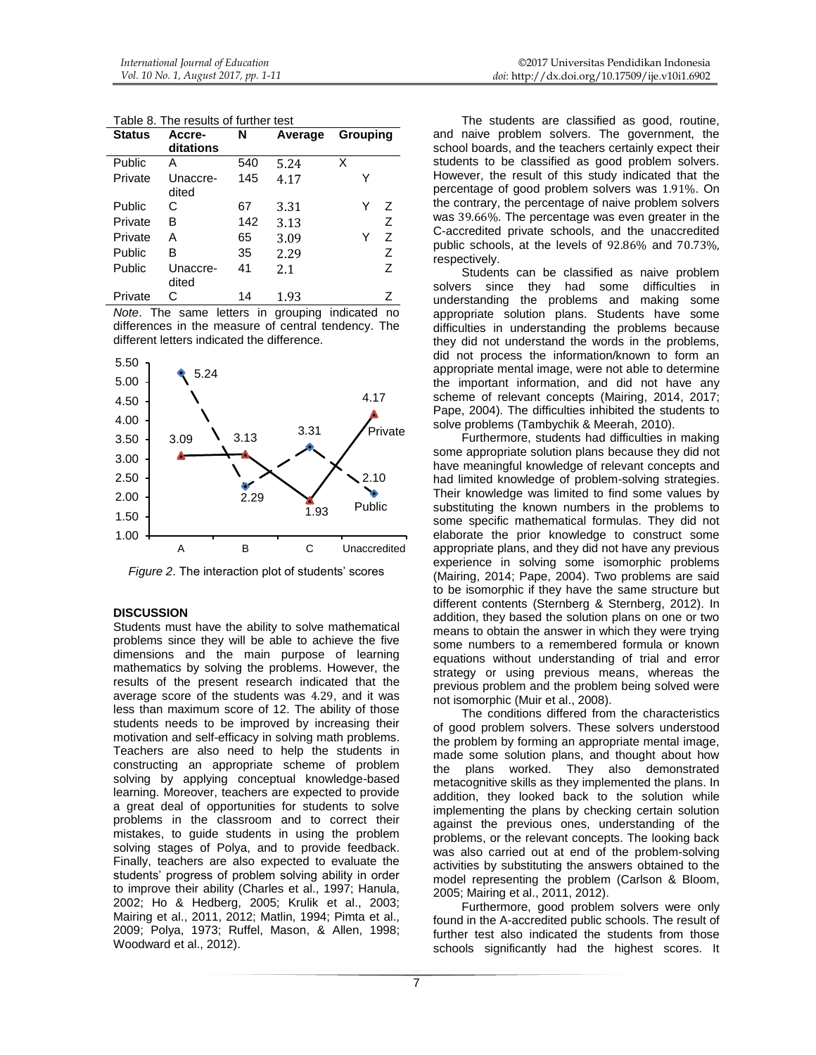| <b>Status</b> | Accre-<br>ditations | N   | Average | Grouping |
|---------------|---------------------|-----|---------|----------|
| Public        | А                   | 540 | 5.24    | х        |
| Private       | Unaccre-<br>dited   | 145 | 4.17    | Y        |
| Public        | С                   | 67  | 3.31    | 7<br>Y   |
| Private       | в                   | 142 | 3.13    | Ζ        |
| Private       | А                   | 65  | 3.09    | Z<br>Y   |
| Public        | В                   | 35  | 2.29    | Ζ        |
| Public        | Unaccre-<br>dited   | 41  | 2.1     | Z        |
| Private       | C                   | 14  | 1.93    | Ζ        |

Table 8. The results of further test

*Note*. The same letters in grouping indicated no differences in the measure of central tendency. The different letters indicated the difference*.*



*Figure 2*. The interaction plot of students' scores

## **DISCUSSION**

Students must have the ability to solve mathematical problems since they will be able to achieve the five dimensions and the main purpose of learning mathematics by solving the problems. However, the results of the present research indicated that the average score of the students was 4.29, and it was less than maximum score of 12. The ability of those students needs to be improved by increasing their motivation and self-efficacy in solving math problems. Teachers are also need to help the students in constructing an appropriate scheme of problem solving by applying conceptual knowledge-based learning. Moreover, teachers are expected to provide a great deal of opportunities for students to solve problems in the classroom and to correct their mistakes, to guide students in using the problem solving stages of Polya, and to provide feedback. Finally, teachers are also expected to evaluate the students' progress of problem solving ability in order to improve their ability (Charles et al., 1997; Hanula, 2002; Ho & Hedberg, 2005; Krulik et al., 2003; Mairing et al., 2011, 2012; Matlin, 1994; Pimta et al., 2009; Polya, 1973; Ruffel, Mason, & Allen, 1998; Woodward et al., 2012).

The students are classified as good, routine, and naive problem solvers. The government, the school boards, and the teachers certainly expect their students to be classified as good problem solvers. However, the result of this study indicated that the percentage of good problem solvers was 1.91%. On the contrary, the percentage of naive problem solvers was 39.66%. The percentage was even greater in the C-accredited private schools, and the unaccredited public schools, at the levels of 92.86% and 70.73%, respectively.

Students can be classified as naive problem solvers since they had some difficulties in understanding the problems and making some appropriate solution plans. Students have some difficulties in understanding the problems because they did not understand the words in the problems, did not process the information/known to form an appropriate mental image, were not able to determine the important information, and did not have any scheme of relevant concepts (Mairing, 2014, 2017; Pape, 2004). The difficulties inhibited the students to solve problems (Tambychik & Meerah, 2010).

Furthermore, students had difficulties in making some appropriate solution plans because they did not have meaningful knowledge of relevant concepts and had limited knowledge of problem-solving strategies. Their knowledge was limited to find some values by substituting the known numbers in the problems to some specific mathematical formulas. They did not elaborate the prior knowledge to construct some appropriate plans, and they did not have any previous experience in solving some isomorphic problems (Mairing, 2014; Pape, 2004). Two problems are said to be isomorphic if they have the same structure but different contents (Sternberg & Sternberg, 2012). In addition, they based the solution plans on one or two means to obtain the answer in which they were trying some numbers to a remembered formula or known equations without understanding of trial and error strategy or using previous means, whereas the previous problem and the problem being solved were not isomorphic (Muir et al., 2008).

The conditions differed from the characteristics of good problem solvers. These solvers understood the problem by forming an appropriate mental image, made some solution plans, and thought about how the plans worked. They also demonstrated metacognitive skills as they implemented the plans. In addition, they looked back to the solution while implementing the plans by checking certain solution against the previous ones, understanding of the problems, or the relevant concepts. The looking back was also carried out at end of the problem-solving activities by substituting the answers obtained to the model representing the problem (Carlson & Bloom, 2005; Mairing et al., 2011, 2012).

Furthermore, good problem solvers were only found in the A-accredited public schools. The result of further test also indicated the students from those schools significantly had the highest scores. It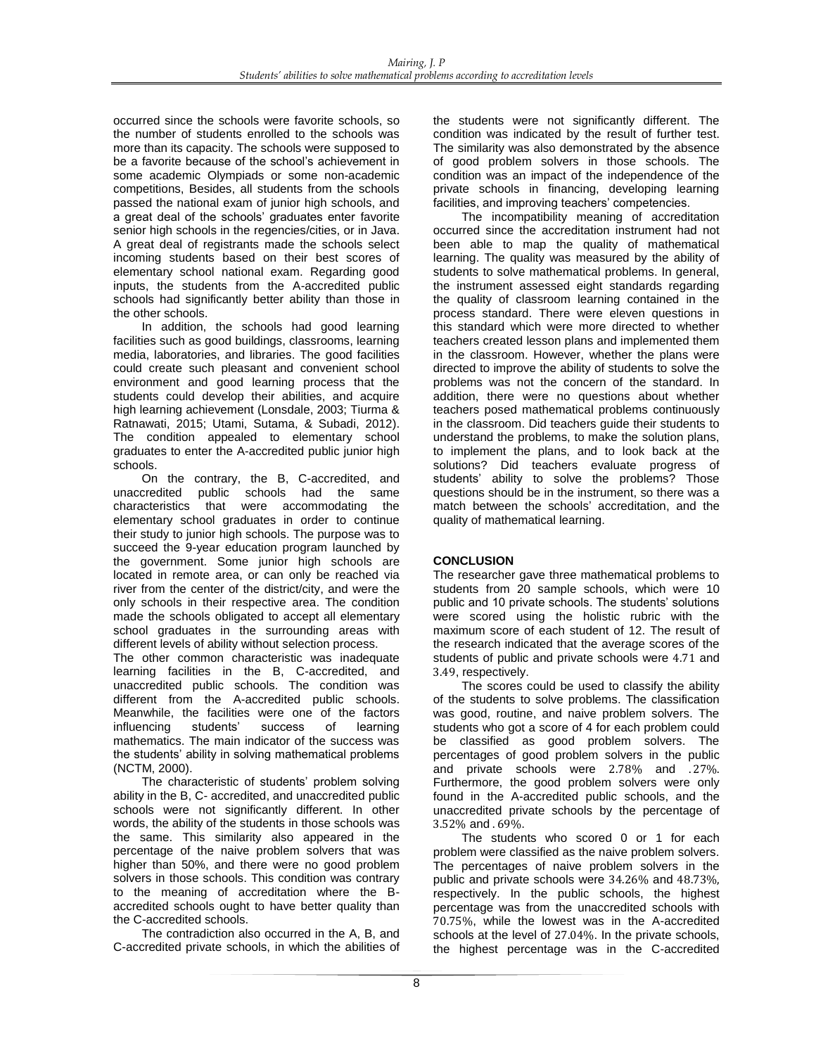occurred since the schools were favorite schools, so the number of students enrolled to the schools was more than its capacity. The schools were supposed to be a favorite because of the school's achievement in some academic Olympiads or some non-academic competitions, Besides, all students from the schools passed the national exam of junior high schools, and a great deal of the schools' graduates enter favorite senior high schools in the regencies/cities, or in Java. A great deal of registrants made the schools select incoming students based on their best scores of elementary school national exam. Regarding good inputs, the students from the A-accredited public schools had significantly better ability than those in the other schools.

In addition, the schools had good learning facilities such as good buildings, classrooms, learning media, laboratories, and libraries. The good facilities could create such pleasant and convenient school environment and good learning process that the students could develop their abilities, and acquire high learning achievement (Lonsdale, 2003; Tiurma & Ratnawati, 2015; Utami, Sutama, & Subadi, 2012). The condition appealed to elementary school graduates to enter the A-accredited public junior high schools.

On the contrary, the B, C-accredited, and unaccredited public schools had the same characteristics that were accommodating the elementary school graduates in order to continue their study to junior high schools. The purpose was to succeed the 9-year education program launched by the government. Some junior high schools are located in remote area, or can only be reached via river from the center of the district/city, and were the only schools in their respective area. The condition made the schools obligated to accept all elementary school graduates in the surrounding areas with different levels of ability without selection process.

The other common characteristic was inadequate learning facilities in the B, C-accredited, and unaccredited public schools. The condition was different from the A-accredited public schools. Meanwhile, the facilities were one of the factors influencing students' success of learning mathematics. The main indicator of the success was the students' ability in solving mathematical problems (NCTM, 2000).

The characteristic of students' problem solving ability in the B, C- accredited, and unaccredited public schools were not significantly different. In other words, the ability of the students in those schools was the same. This similarity also appeared in the percentage of the naive problem solvers that was higher than 50%, and there were no good problem solvers in those schools. This condition was contrary to the meaning of accreditation where the Baccredited schools ought to have better quality than the C-accredited schools.

The contradiction also occurred in the A, B, and C-accredited private schools, in which the abilities of the students were not significantly different. The condition was indicated by the result of further test. The similarity was also demonstrated by the absence of good problem solvers in those schools. The condition was an impact of the independence of the private schools in financing, developing learning facilities, and improving teachers' competencies.

The incompatibility meaning of accreditation occurred since the accreditation instrument had not been able to map the quality of mathematical learning. The quality was measured by the ability of students to solve mathematical problems. In general, the instrument assessed eight standards regarding the quality of classroom learning contained in the process standard. There were eleven questions in this standard which were more directed to whether teachers created lesson plans and implemented them in the classroom. However, whether the plans were directed to improve the ability of students to solve the problems was not the concern of the standard. In addition, there were no questions about whether teachers posed mathematical problems continuously in the classroom. Did teachers guide their students to understand the problems, to make the solution plans, to implement the plans, and to look back at the solutions? Did teachers evaluate progress of students' ability to solve the problems? Those questions should be in the instrument, so there was a match between the schools' accreditation, and the quality of mathematical learning.

## **CONCLUSION**

The researcher gave three mathematical problems to students from 20 sample schools, which were 10 public and 10 private schools. The students' solutions were scored using the holistic rubric with the maximum score of each student of 12. The result of the research indicated that the average scores of the students of public and private schools were 4.71 and 3.49, respectively.

The scores could be used to classify the ability of the students to solve problems. The classification was good, routine, and naive problem solvers. The students who got a score of 4 for each problem could be classified as good problem solvers. The percentages of good problem solvers in the public and private schools were 2.78% and . 27%. Furthermore, the good problem solvers were only found in the A-accredited public schools, and the unaccredited private schools by the percentage of 3.52% and . 69%.

The students who scored 0 or 1 for each problem were classified as the naive problem solvers. The percentages of naive problem solvers in the public and private schools were 34.26% and 48.73%, respectively. In the public schools, the highest percentage was from the unaccredited schools with 70.75%, while the lowest was in the A-accredited schools at the level of 27.04%. In the private schools, the highest percentage was in the C-accredited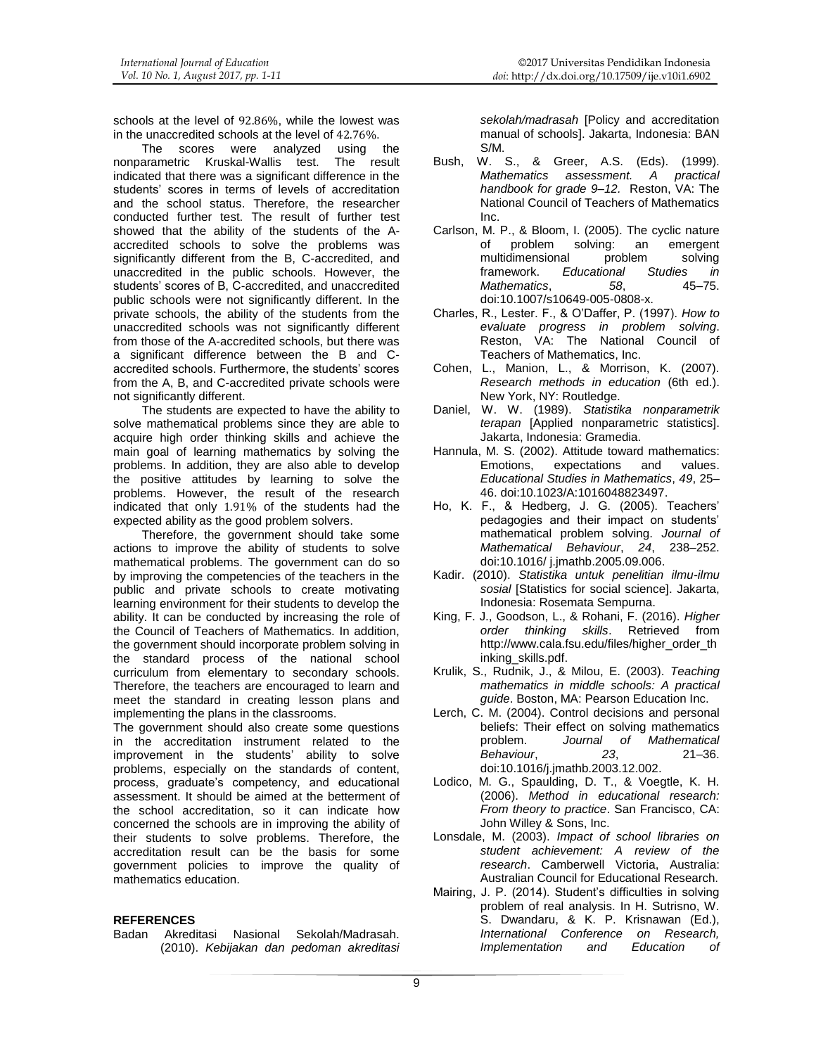schools at the level of 92.86%, while the lowest was in the unaccredited schools at the level of 42.76%.<br>The scores were analyzed using

scores were analyzed using the<br>etric Kruskal-Wallis test. The result nonparametric Kruskal-Wallis test. indicated that there was a significant difference in the students' scores in terms of levels of accreditation and the school status. Therefore, the researcher conducted further test. The result of further test showed that the ability of the students of the Aaccredited schools to solve the problems was significantly different from the B, C-accredited, and unaccredited in the public schools. However, the students' scores of B, C-accredited, and unaccredited public schools were not significantly different. In the private schools, the ability of the students from the unaccredited schools was not significantly different from those of the A-accredited schools, but there was a significant difference between the B and Caccredited schools. Furthermore, the students' scores from the A, B, and C-accredited private schools were not significantly different.

The students are expected to have the ability to solve mathematical problems since they are able to acquire high order thinking skills and achieve the main goal of learning mathematics by solving the problems. In addition, they are also able to develop the positive attitudes by learning to solve the problems. However, the result of the research indicated that only 1.91% of the students had the expected ability as the good problem solvers.

Therefore, the government should take some actions to improve the ability of students to solve mathematical problems. The government can do so by improving the competencies of the teachers in the public and private schools to create motivating learning environment for their students to develop the ability. It can be conducted by increasing the role of the Council of Teachers of Mathematics. In addition, the government should incorporate problem solving in the standard process of the national school curriculum from elementary to secondary schools. Therefore, the teachers are encouraged to learn and meet the standard in creating lesson plans and implementing the plans in the classrooms.

The government should also create some questions in the accreditation instrument related to the improvement in the students' ability to solve problems, especially on the standards of content, process, graduate's competency, and educational assessment. It should be aimed at the betterment of the school accreditation, so it can indicate how concerned the schools are in improving the ability of their students to solve problems. Therefore, the accreditation result can be the basis for some government policies to improve the quality of mathematics education.

#### **REFERENCES**

Badan Akreditasi Nasional Sekolah/Madrasah. (2010). *Kebijakan dan pedoman akreditasi*  *sekolah/madrasah* [Policy and accreditation manual of schools]. Jakarta, Indonesia: BAN S/M.

- Bush, W. S., & Greer, A.S. (Eds). (1999). *Mathematics assessment. A practical handbook for grade 9–12.* Reston, VA: The National Council of Teachers of Mathematics Inc.
- Carlson, M. P., & Bloom, I. (2005). The cyclic nature of problem solving: an emergent multidimensional problem solving<br>framework. Fducational Studies in framework. *Educational Studies in*   $Mathematics.$ [doi:10.1007/s10649-005-0808-x.](http://dx.doi.org/10.1007/s10649-005-0808-x)
- Charles, R., Lester. F., & O'Daffer, P. (1997). *How to evaluate progress in problem solving*. Reston, VA: The National Council of Teachers of Mathematics, Inc.
- Cohen, L., Manion, L., & Morrison, K. (2007). *Research methods in education* (6th ed.). New York, NY: Routledge.
- Daniel, W. W. (1989). *Statistika nonparametrik terapan* [Applied nonparametric statistics]. Jakarta, Indonesia: Gramedia.
- Hannula, M. S. (2002). Attitude toward mathematics: expectations and values. *Educational Studies in Mathematics*, *49*, 25– 46. [doi:10.1023/A:1016048823497.](http://dx.doi.org/10.1023/A:1016048823497)
- Ho, K. F., & Hedberg, J. G. (2005). Teachers' pedagogies and their impact on students' mathematical problem solving. *Journal of Mathematical Behaviour*, *24*, 238–252. [doi](http://dx.doi.org/)[:10.1016/ j.jmathb.2005.09.006.](http://dx.doi.org/10.1016/j.jmathb.2005.09.006)
- Kadir. (2010). *Statistika untuk penelitian ilmu-ilmu sosial* [Statistics for social science]. Jakarta, Indonesia: Rosemata Sempurna.
- King, F. J., Goodson, L., & Rohani, F. (2016). *Higher order thinking skills*. Retrieved from [http://www.cala.fsu.edu/files/higher\\_order\\_th](http://www.cala.fsu.edu/files/higher_order_thinking_skills.pdf) [inking\\_skills.pdf.](http://www.cala.fsu.edu/files/higher_order_thinking_skills.pdf)
- Krulik, S., Rudnik, J., & Milou, E. (2003). *Teaching mathematics in middle schools: A practical guide*. Boston, MA: Pearson Education Inc.
- Lerch, C. M. (2004). Control decisions and personal beliefs: Their effect on solving mathematics problem. *Journal of Mathematical Behaviour*, *23*, 21–36. [doi:10.1016/j.jmathb.2003.12.002.](http://dx.doi.org/10.1016/j.jmathb.2003.12.002)
- Lodico, M. G., Spaulding, D. T., & Voegtle, K. H. (2006). *Method in educational research: From theory to practice*. San Francisco, CA: John Willey & Sons, Inc.
- Lonsdale, M. (2003). *Impact of school libraries on student achievement: A review of the research*. Camberwell Victoria, Australia: Australian Council for Educational Research.
- Mairing, J. P. (2014). Student's difficulties in solving problem of real analysis. In H. Sutrisno, W. S. Dwandaru, & K. P. Krisnawan (Ed.), *International Conference on Research, Implementation and Education of*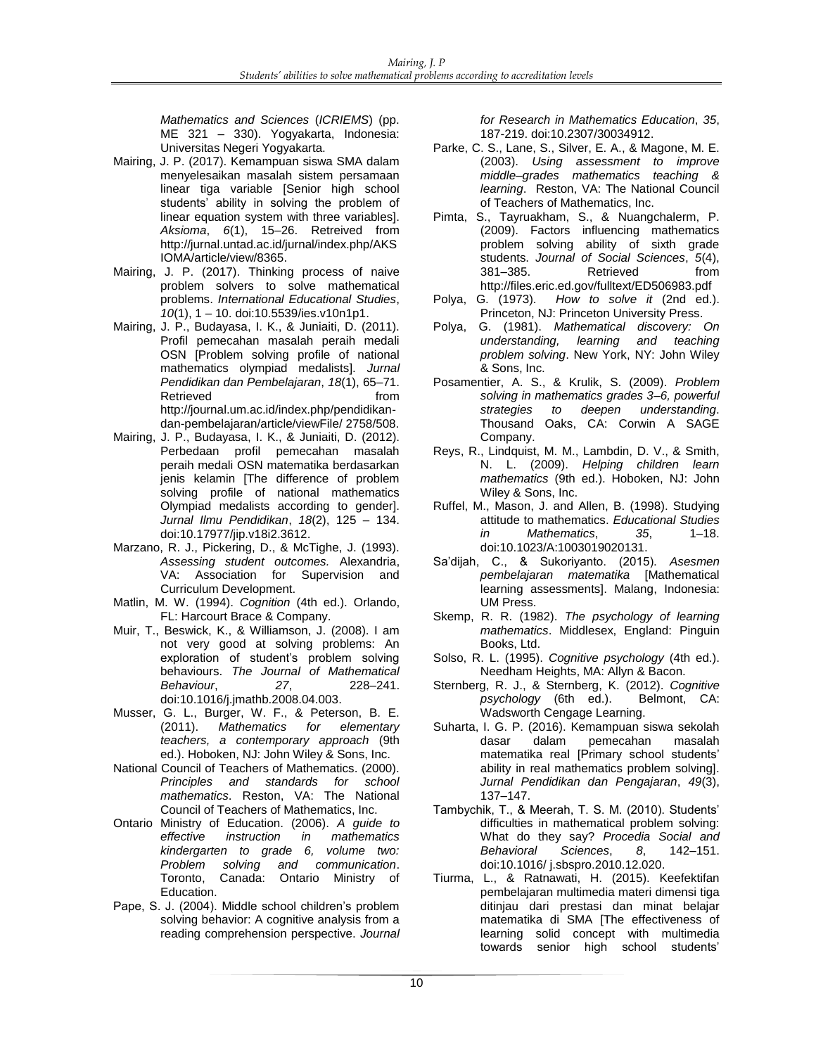*Mathematics and Sciences* (*ICRIEMS*) (pp. ME 321 – 330). Yogyakarta, Indonesia: Universitas Negeri Yogyakarta.

- Mairing, J. P. (2017). Kemampuan siswa SMA dalam menyelesaikan masalah sistem persamaan linear tiga variable [Senior high school students' ability in solving the problem of linear equation system with three variables]. *Aksioma*, *6*(1), 15–26. Retreived from [http://jurnal.untad.ac.id/jurnal/index.php/AKS](http://jurnal.untad.ac.id/jurnal/index.php/AKSIOMA/article/view/8365) [IOMA/article/view/8365.](http://jurnal.untad.ac.id/jurnal/index.php/AKSIOMA/article/view/8365)
- Mairing, J. P. (2017). Thinking process of naive problem solvers to solve mathematical problems. *International Educational Studies*, *10*(1), 1 – 10. doi:10.5539/ies.v10n1p1.
- Mairing, J. P., Budayasa, I. K., & Juniaiti, D. (2011). Profil pemecahan masalah peraih medali OSN [Problem solving profile of national mathematics olympiad medalists]. *Jurnal Pendidikan dan Pembelajaran*, *18*(1), 65–71. Retrieved from the from http://journal.um.ac.id/index.php/pendidikandan-pembelajaran/article/viewFile/ 2758/508.
- Mairing, J. P., Budayasa, I. K., & Juniaiti, D. (2012). Perbedaan profil pemecahan masalah peraih medali OSN matematika berdasarkan jenis kelamin [The difference of problem solving profile of national mathematics Olympiad medalists according to gender]. *Jurnal Ilmu Pendidikan*, *18*(2), 125 – 134. doi:10.17977/jip.v18i2.3612.
- Marzano, R. J., Pickering, D., & McTighe, J. (1993). *Assessing student outcomes.* Alexandria, VA: Association for Supervision and Curriculum Development.
- Matlin, M. W. (1994). *Cognition* (4th ed.). Orlando, FL: Harcourt Brace & Company.
- Muir, T., Beswick, K., & Williamson, J. (2008). I am not very good at solving problems: An exploration of student's problem solving behaviours. *The Journal of Mathematical Behaviour*, *27*, 228–241. [doi:](http://dx.doi.org/)[10.1016/j.jmathb.2008.04.003.](http://dx.doi.org/10.1016/j.jmathb.2008.04.003)
- Musser, G. L., Burger, W. F., & Peterson, B. E. (2011). *Mathematics for elementary teachers, a contemporary approach* (9th ed.). Hoboken, NJ: John Wiley & Sons, Inc.
- National Council of Teachers of Mathematics. (2000).<br>Principles and standards for school *Principles and standards for school mathematics*. Reston, VA: The National Council of Teachers of Mathematics, Inc.
- Ontario Ministry of Education. (2006). *A guide to effective instruction in mathematics kindergarten to grade 6, volume two: Problem solving and communication*. Toronto, Canada: Ontario Ministry of Education.
- Pape, S. J. (2004). Middle school children's problem solving behavior: A cognitive analysis from a reading comprehension perspective. *Journal*

*for Research in Mathematics Education*, *35*, 187-219[. doi:10.2307/30034912.](http://dx.doi.org/10.2307/30034912) 

- Parke, C. S., Lane, S., Silver, E. A., & Magone, M. E. (2003). *Using assessment to improve middle–grades mathematics teaching & learning*. Reston, VA: The National Council of Teachers of Mathematics, Inc.
- Pimta, S., Tayruakham, S., & Nuangchalerm, P. (2009). Factors influencing mathematics problem solving ability of sixth grade students. *Journal of Social Sciences*, *5*(4), Retrieved from <http://files.eric.ed.gov/fulltext/ED506983.pdf>
- Polya, G. (1973). *How to solve it* (2nd ed.). Princeton, NJ: Princeton University Press.
- Polya, G. (1981). *Mathematical discovery: On understanding, learning and teaching problem solving*. New York, NY: John Wiley & Sons, Inc.
- Posamentier, A. S., & Krulik, S. (2009). *Problem solving in mathematics grades 3–6, powerful strategies to deepen understanding*. Thousand Oaks, CA: Corwin A SAGE Company.
- Reys, R., Lindquist, M. M., Lambdin, D. V., & Smith, N. L. (2009). *Helping children learn mathematics* (9th ed.). Hoboken, NJ: John Wiley & Sons, Inc.
- Ruffel, M., Mason, J. and Allen, B. (1998). Studying attitude to mathematics. *Educational Studies in Mathematics*, *35*, 1–18. [doi:10.1023/A:1003019020131.](http://dx.doi.org/10.1023/A:1003019020131)
- Sa'dijah, C., & Sukoriyanto. (2015). *Asesmen pembelajaran matematika* [Mathematical learning assessments]. Malang, Indonesia: UM Press.
- Skemp, R. R. (1982). *The psychology of learning mathematics*. Middlesex, England: Pinguin Books, Ltd.
- Solso, R. L. (1995). *Cognitive psychology* (4th ed.). Needham Heights, MA: Allyn & Bacon.
- Sternberg, R. J., & Sternberg, K. (2012). *Cognitive psychology* (6th ed.). Belmont, CA: Wadsworth Cengage Learning.
- Suharta, I. G. P. (2016). Kemampuan siswa sekolah dasar dalam pemecahan matematika real [Primary school students' ability in real mathematics problem solving]. *Jurnal Pendidikan dan Pengajaran*, *49*(3), 137–147.
- Tambychik, T., & Meerah, T. S. M. (2010). Students' difficulties in mathematical problem solving: What do they say? *Procedia Social and Behavioral Sciences*, *8*, 142–151. [doi](http://dx.doi.org/)[:10.1016/ j.sbspro.2010.12.020.](http://dx.doi.org/10.1016/j.sbspro.2010.12.020)
- Tiurma, L., & Ratnawati, H. (2015). Keefektifan pembelajaran multimedia materi dimensi tiga ditinjau dari prestasi dan minat belajar matematika di SMA [The effectiveness of learning solid concept with multimedia towards senior high school students'